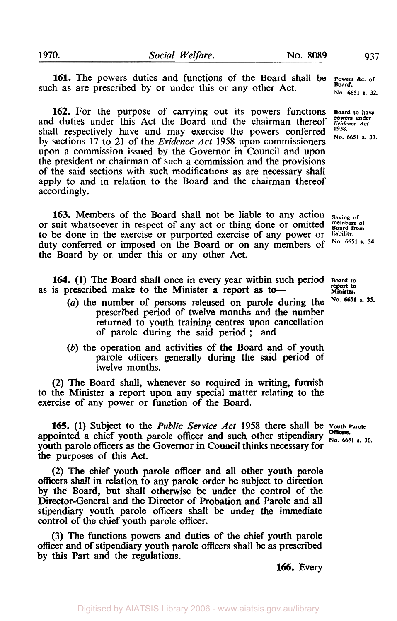Digitised by AIATSIS Library 2006 - www.aiatsis.gov.au/library

**161.** The powers duties and functions of the Board shall be such as are prescribed by or under this or any other Act. **No. 6651** s. 32.

**162.** For the purpose of carrying out its powers functions **Board to have**  and duties under this Act the Board and the chairman thereof *Evidence Act* shall respectively have and may exercise the powers conferred  $^{1958}$ . by sections 17 to 21 of the *Evidence* Act **1958** upon commissioners upon a commission issued by the Governor in Council and upon the president or chairman of such a commission and the provisions of the said sections with such modifications as are necessary shall apply to and in relation to the Board and the chairman thereof accordingly. and duties under this Act the Board and the chairman thereof

**163.** Members of the Board shall not be liable to any action saving of suit whatsoever in respect of any act or thing done or omitted **Board** from or suit whatsoever in respect of any act or thing done or omitted **members**<br>to be done in the exercise or purported exercise of any power or liability. to be done in the exercise or purported exercise of any power or duty conferred or imposed on the Board or on any members of the Board by or under this or any other Act.

**164. (1)** The Board shall once in every year within such period **Board to**  as is prescribed make to the Minister a report as to-

- *(a)* the number of persons released on parole during the **No.**  prescribed period of twelve months and the number returned to youth training centres upon cancellation of parole during the said period ; and
- *(b)* the operation and activities of the Board and of youth parole officers generally during the said period of twelve months.

(2) The Board shall, whenever **so** required in writing, furnish to the Minister a report upon any special matter relating to the exercise of any power or function of the Board.

**165.** (1) Subject to the *Public Service Act* 1958 there shall be youth Parole appointed a chief youth parole officer and such other stipendiary  $N_0$ , 6651 **s.** 36. youth parole officers as the Governor in Council thinks necessary for the purposes of this Act.

(2) The chief youth parole officer and all other youth parole officers shall in relation to any parole order be subject to direction by the Board, but shall otherwise be under the control of the Director-General and the Director of Probation and Parole and all stipendiary youth parole officers shall be under the immediate control of the chief youth parole officer.

(3) The functions powers and duties of the chief youth parole officer and of stipendiary youth parole officers shall be as prescribed by this Part and the regulations.

No. 6651 s. 34.

**report to**  No. 6651 s. 35.

Powers &c. of<br>**Board**.

**166.** Every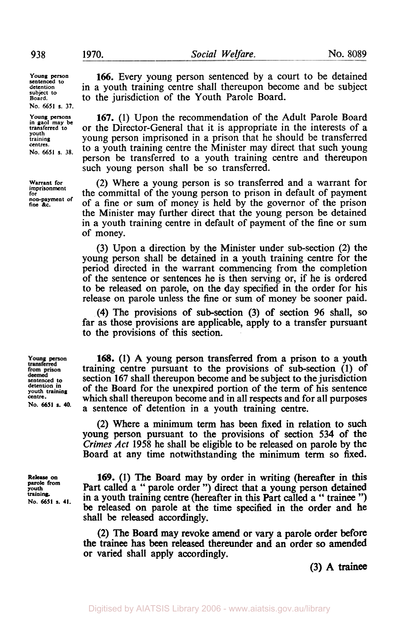**Young person sentenced to detention subject to Board. No. 6651 s. 37.** 

**Young persons in gaol may be transferred to youth training centres. No. 6651 s. 38.** 

**imprisonment for non-payment of fine** &c.

**Warrant for** 

**166.** Every young person sentenced by a court to be detained in a youth training centre shall thereupon become and be subject to the jurisdiction of the Youth Parole Board.

**167. (1)** Upon the recommendation of the Adult Parole Board or the Director-General that it is appropriate in the interests of a young person imprisoned in a prison that he should be transferred to a youth training centre the Minister may direct that such young person be transferred to a youth training centre and thereupon such young person shall be so transferred.

(2) Where a young person is so transferred and a warrant for the committal of the young person to prison in default of payment of a fine or sum of money is held by the governor of the prison the Minister may further direct that the young person be detained in a youth training centre in default of payment of the fine or sum of money.

(3) Upon a direction by the Minister under sub-section (2) the young person shall be detained in a youth training centre for the period directed in the warrant commencing from the completion of the sentence or sentences he is then serving or, if he is ordered to be released on parole, on the day **specified** in the order for his release on parole unless the fine or sum of money be sooner paid.

**(4)** The provisions of sub-section **(3)** of section **96** shall, **so**  far as those provisions are applicable, apply to a transfer pursuant to the provisions of this section.

Young person<br>transferred from prison<br>deemed<br>sentenced to **detention in youth training centre. No. 6651 s. 40.** 

**Release** *on* **parole from youth training. No. 6651 s. 41.** 

**168. (1) A** young person transferred from a prison to a youth training centre pursuant to the provisions of sub-section **(1)** of section **167** shall thereupon become and be subject to the jurisdiction of the Board for the unexpired portion of the term of his sentence which shall thereupon become and in all respects and for all purposes a sentence of detention in a youth training centre.

**(2)** Where a minimum term has been fixed in relation to such young person pursuant to the provisions of section **534** of the Crimes *Act* **1958** he shall be eligible to be released on parole by the Board at any time notwithstanding the minimum term so **fixed.** 

**169. (1)** The Board may by order in writing (hereafter in **this**  Part called a " parole order ") direct that a young person detained in a youth training centre (hereafter in this Part called a " trainee ") be released on parole at the time specified in the order and he shall be released accordingly.

**(2)** The Board may revoke amend or vary a parole order **before**  the trainee has been released thereunder and an order so amended or varied shall apply accordingly.

**(3) A trainee**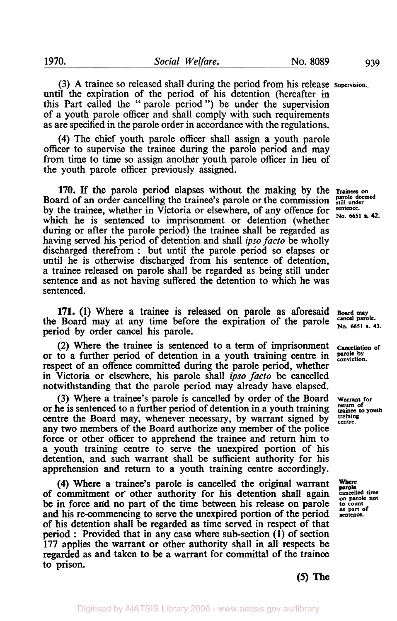(3) A trainee so released shall during the period from his release **Supervision..**  until the expiration of the period of his detention (hereafter in this Part called the "parole period") be under the supervision of a youth parole officer and shall comply with such requirements as are specified in the parole order in accordance with the regulations.

**(4)** The chief youth parole officer shall assign a youth parole officer to supervise the trainee during the parole period and may from time to time so assign another youth parole officer in lieu of the youth parole officer previously assigned.

**170.** If the parole period elapses without the making by the Trainees on and of an order cancelling the trainee's parole or the commission  $\frac{\text{particle}}{\text{still under}}$ Board of an order cancelling the trainee's parole or the commission **parole de**<br>hy the trainee, whether in Victoria as also when a factor of a september by the trainee, whether in Victoria or elsewhere, of any offence for which he is sentenced to imprisonment or detention (whether during or after the parole period) the trainee shall be regarded as having served his period of detention and shall *ipso facto* be wholly discharged therefrom : but until the parole period so elapses or until he is otherwise discharged from his sentence of detention, a trainee released on parole shall be regarded as being still under sentence and as not having suffered the detention to which he was sentenced.

**171.** (1) Where a trainee is released on parole as aforesaid **Board may Board** may at any time before the evaluation of the parole <sup>cancel parole.</sub></sup> the Board may at any time before the expiration of the parole cancel parole. period by order cancel his parole.

(2) Where the trainee is sentenced to a term of imprisonment or to a further period of detention in a youth training centre in respect of an offence committed during the parole period, whether in Victoria or elsewhere, his parole shall *ipso facto* be cancelled notwithstanding that the parole period may already have elapsed.

(3) Where a trainee's parole is cancelled by order of the Board or he is sentenced to a further period of detention in a youth training centre the Board may, whenever necessary, by warrant signed by any two members of the Board authorize any member of the police force or other officer to apprehend the trainee and return him to a youth training centre to serve the unexpired portion of his detention, and such warrant shall be sufficient authority for his apprehension and return to a youth training centre accordingly.

**(4)** Where a trainee's parole is cancelled the original warrant of commitment or other authority for his detention shall again cancelled time<br>be in force and no part of the time between his release on parole to count<br>and his re-commencing to serve the unexpired portion of the period se of his detention shall be regarded as time served in respect of that period : Provided that in any case where sub-section (1) of section 177 applies the warrant or other authority shall in all respects be regarded as and taken to be a warrant for committal of the trainee **to** prison.

No. 6651 s. 42.

**Cancellation of parole by conviction.** 

**Warrant for return of**  trainee to **youth training centre.** 

Where parole

*(5)* The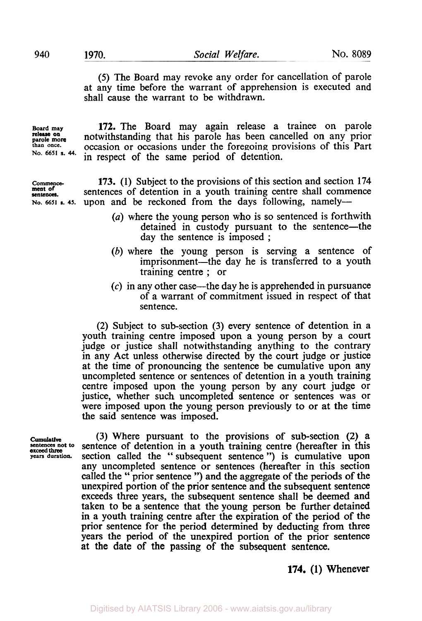*(5)* The Board may revoke any order for cancellation of parole at any time before the warrant of apprehension is executed and shall cause the warrant to be withdrawn.

**Board may 172.** The Board may again release a trainee on parole **release on more No. 6651 s. 44.** 

**ment of of sentences.** 

notwithstanding that his parole has been cancelled on any prior occasion or occasions under the foregoing provisions of this Part in respect of the same period of detention.

**Commence- 173. (1)** Subject to the provisions of this section and section **174**  sentences of detention in a youth training centre shall commence No. 6651 **s.** 45. upon and be reckoned from the days following, namely-

- *(a)* where the young person who is so sentenced is forthwith detained in custody pursuant to the sentence-the day the sentence is imposed ;
- (b) where the young person is serving a sentence of imprisonment—the day he is transferred to a youth training centre ; or
- *(c)* in any other case-the day he is apprehended in pursuance of a warrant of commitment issued in respect of that sentence.

(2) Subject to sub-section (3) every sentence of detention in a youth training centre imposed upon a young person by a court judge or justice shall notwithstanding anything to the contrary in any Act unless otherwise directed by the court judge or justice at the time of pronouncing the sentence be cumulative upon any uncompleted sentence or sentences of detention in a youth training centre imposed upon the young person by any court judge or justice, whether such uncompleted sentence or sentences was or were imposed upon the young person previously to or at the time the said sentence was imposed.

**Cumulative** (3) Where pursuant to the provisions of sub-section (2) a sentences not to sentence of detention in a youth training centre (hereafter in this sentence of detention in a youth training centre (hereafter in this **exceed three**<br>years duration. section called the " subsequent sentence ") is cumulative upon any uncompleted sentence or sentences (hereafter in this section called the " prior sentence ") and the aggregate of the periods of the unexpired portion of the prior sentence and the subsequent sentence exceeds three years, the subsequent sentence shall be deemed and taken to be a sentence that the young person be further detained in a youth training centre after the expiration of the period of the prior sentence for the period determined by deducting from three years the period of the unexpired portion of the prior sentence at the date of the passing of the subsequent sentence.

## **174. (1)** Whenever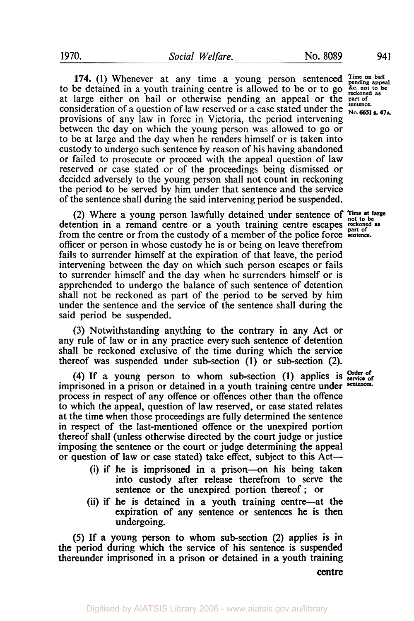**174.** (1) Whenever at any time a young person sentenced  $\overline{\text{pending appeal}}$  be detained in a youth training centre is allowed to be or to go  $\frac{\text{ac.} \text{of 1}}{\text{recohond as}}$ to be detained in a youth training centre is allowed to be or to go. at large either on bail or otherwise pending an appeal or the **part of the sentence**. consideration of a question of law reserved or a case stated under the  $\frac{\text{smence}}{\text{No. 6651 s. 47}}$ provisions of any law in force in Victoria, the period intervening between the day on which the young person was allowed to go or to be at large and the day when he renders himself or is taken into custody to undergo such sentence by reason of his having abandoned or failed to prosecute or proceed with the appeal question of law reserved or case stated or of the proceedings being dismissed or decided adversely to the young person shall not count in reckoning the period to be served by him under that sentence and the service of the sentence shall during the said intervening period be suspended.

detention in a remand centre or a youth training centre escapes reckoned as from the centre or from the custody of a member of the police force **sentence.**  officer or person in whose custody he is or being on leave therefrom fails to surrender himself at the expiration of that leave, the period intervening between the day on which such person escapes or fails to surrender himself and the day when he surrenders himself or is apprehended to undergo the balance of such sentence of detention shall not be reckoned as part of the period to be served by him under the sentence and the service of the sentence shall during the said period be suspended. **Time at large** (2) Where a young person lawfully detained under sentence of not **to be** 

(3) Notwithstanding anything to the contrary in any Act or any rule of law or in any practice every such sentence of detention shall be reckoned exclusive of the time during which the service thereof was suspended under sub-section **(1)** or sub-section (2).

**(4)** If a young person to whom sub-section **(1)** applies is service of imprisoned in a prison or detained in a youth training centre under **sentences.**  process in respect of any offence or offences other than the offence to which the appeal, question of law reserved, or case stated relates at the time when those proceedings are fully determined the sentence in respect of the last-mentioned offence or the unexpired portion thereof shall (unless otherwise directed by the court judge or justice imposing the sentence or the court or judge determining the appeal or question of law or case stated) take effect, subject to this Act-

- (i) if he is imprisoned in a prison-on his being taken into custody after release therefrom to serve the sentence or the unexpired portion thereof; or
- (ii) if he is detained in a youth training centre-at the expiration of any sentence or sentences he is then undergoing.

*(5)* If a young person to whom sub-section (2) applies is in the period during which the service of his sentence is suspended thereunder imprisoned in **a** prison or detained in a youth training

centre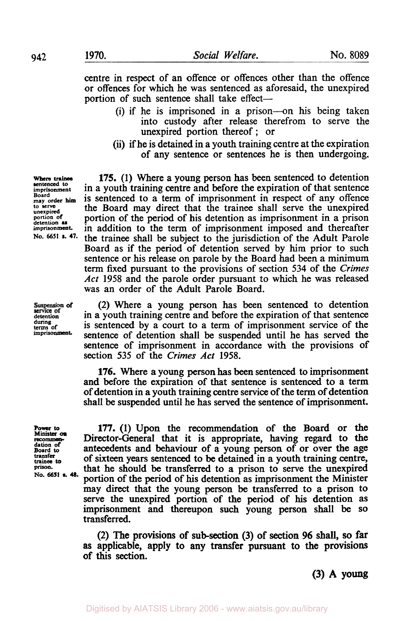centre in respect of an offence or offences other than the offence or offences for which he was sentenced as aforesaid, the unexpired portion of such sentence shall take effect-

- (i) if he is imprisoned in a prison-on his being taken into custody after release therefrom to serve the unexpired portion thereof ; or
- (ii) if he is detained in a youth training centre at the expiration of any sentence or sentences he is then undergoing.

in a youth training centre and before the expiration of that sentence is sentenced to a term of imprisonment in respect of any offence **175. (1)** Where a young person has been sentenced to detention the Board may direct that the trainee shall serve the unexpired portion of the period of his detention as imprisonment in a prison in addition to the term of imprisonment imposed and thereafter the trainee shall be subject to the jurisdiction of the Adult Parole Board as if the period of detention served by **him** prior to such sentence or his release on parole by the Board had been a minimum term fixed pursuant to the provisions of section **534** of the *Crimes Act* 1958 and the parole order pursuant to which he was released was an order of the Adult Parole Board.

(2) Where a young person has been sentenced to detention in a youth training centre and before the expiration of that sentence is sentenced by a court to a term of imprisonment service of the sentence of detention shall be suspended until he has served the sentence of imprisonment in accordance with the provisions of section 535 of the *Crimes* Act 1958.

**176.** Where a young person has been sentenced to imprisonment and before the expiration of that sentence is sentenced to a term of detention in a youth training centre service of the term of detention shall be suspended until he has served the sentence of imprisonment.

**Power to Minister** *on* recommen**dation of Board to transfer**  transfer<br>trainee to prison. **No. 6651 a. 48.** 

**177. (1)** Upon the recommendation of the Board or the Director-General that it is appropriate, having regard to the antecedents and behaviour of a young person of or over the age of sixteen years sentenced to be detained in a youth training centre, that he should be transferred to a prison to serve the unexpired portion of the period of **his** detention as imprisonment the Minister may direct that the young person be transferred to a prison to serve the unexpired portion of the period of **his** detention as imprisonment and thereupon such young person shall be **SO**  transferred.

(2) The provisions of sub-section (3) of section *96* shall, **so far as** applicable, apply to any transfer pursuant to the provisions of **this** section.

**(3) A young** 

Where trainee<br>sentenced to **sentenced to imprisonment Board may order him to serve unexpired portion of detention as imprisonment No. 6651 a. 47.** 

Suspension of **detention during terms of imprisonment.**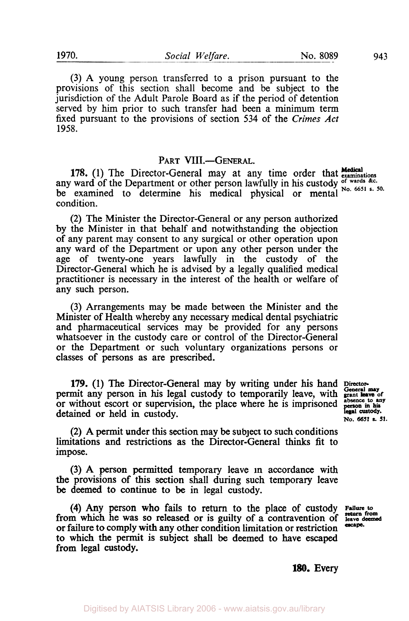**1970.** *Social Welfare.* No. **8089 943** 

**(3)** A young person transferred to a prison pursuant to the provisions of this section shall become and be subject to the jurisdiction of the Adult Parole Board as if the period of detention served by him prior to such transfer had been a minimum term fixed pursuant to the provisions of section **534** of the *Crimes Act*  **1958.** 

# PART VIII.-GENERAL.

**Medical 178. (1)** The Director-General may at any time order that **examinations**  any ward of the Department or other person lawfully in his custody of wards &c. be examined to determine his medical physical or mental condition.

**(2)** The Minister the Director-General or any person authorized by the Minister in that behalf and notwithstanding the objection of any parent may consent to any surgical or other operation upon any ward of the Department or upon any other person under the age of twenty-one years lawfully in the custody of the Director-General which he is advised by a legally qualified medical practitioner is necessary in the interest of the health or welfare of any such person.

**(3)** Arrangements may be made between the Minister and the Minister of Health whereby any necessary medical dental psychiatric and pharmaceutical services may be provided for any persons whatsoever in the custody care or control of the Director-General or the Department or such voluntary organizations persons or classes of persons as are prescribed.

**179. (1)** The Director-General may by writing under his hand **Director-General may**  permit any person in his legal custody to temporarily leave, with **grant** leave of or without escort or supervision, the place where he is imprisoned detained or held in custody.

**person in his legal custody. No. 6651 s. 51.** 

**(2) A** permit under this section may be subject **to** such conditions limitations and restrictions as the Director-General **thinks** fit to impose.

**(3) A** person permitted temporary leave in accordance with the provisions of this section shall during such temporary leave be deemed to continue to be in legal custody.

from which he was **so** released or is guilty of a contravention of **leave** deemed **return from**  or failure to comply **with** any other condition limitation or restriction **to** which the permit is subject shall **be** deemed to have escaped from legal **custody. (4)** Any person who fails to return to the place of custody **Failure to** 

*escape.* 

**180.** Every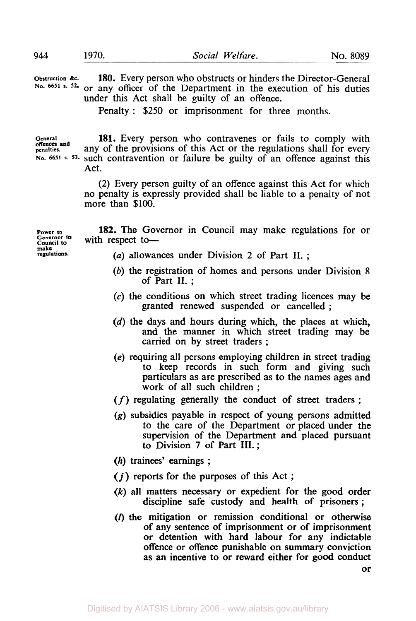| Obstruction &c.<br>No. 6651 s. 52.    | 180. Every person who obstructs or hinders the Director-General<br>or any officer of the Department in the execution of his duties<br>under this Act shall be guilty of an offence.<br>Penalty: \$250 or imprisonment for three months. |
|---------------------------------------|-----------------------------------------------------------------------------------------------------------------------------------------------------------------------------------------------------------------------------------------|
| General<br>offences and<br>penalties. | 181. Every person who contravenes or fails to comply with<br>any of the provisions of this Act or the regulations shall for every<br>No. 6651 s. 53. such contravention or failure be guilty of an offence against this<br>Act.         |

(2) Every person guilty of an offence against this Act for which no penalty is expressly provided shall be liable to a penalty of not more than \$100.

**Power to Governor in Council to make regulations. 182.** The Governor in Council may make regulations for or with respect to-

- *(a)* allowances under Division 2 of Part **II.** ;
- (b) the registration of homes and persons under Division 8 of Part **II.** ;
- **(c)** the conditions on which street trading licences may be granted renewed suspended or cancelled ;
- (d) the days and hours during which, the places at which, and the manner in which street trading may be carried on by street traders ;
- **(e)** requiring all persons employing children in street trading to keep records in such form and giving such particulars as are prescribed as to the names ages and work of all such children ;
- *(f)* regulating generally the conduct of street traders ;
- *(g)* subsidies payable in respect of young persons admitted to the care of the Department or placed under the supervision of the Department and placed pursuant to Division 7 of Part **III.;**
- (h) trainees' earnings ;
- *(i)* reports for the purposes of this Act ;
- *(k)* all matters necessary or expedient for the good order discipline safe custody and health of prisoners ;
- **(l)** the mitigation or remission conditional or otherwise of any sentence of imprisonment or of imprisonment or detention with hard labour for any indictable offence or offence punishable on summary conviction as an incentive to or reward either for good conduct

**or**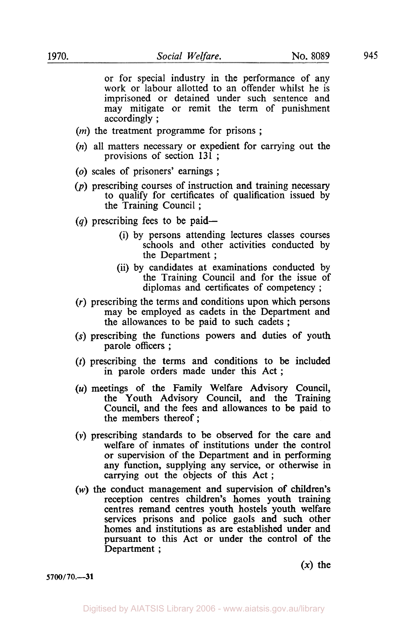or for special industry in the performance of any work or labour allotted to an offender whilst he is imprisoned or detained under such sentence and may mitigate or remit the term of punishment accordingly ;

- (*m*) the treatment programme for prisons;
- *(n)* all matters necessary or expedient for carrying out the provisions of section 131 ;
- *(0)* scales of prisoners' earnings ;
- $(p)$  prescribing courses of instruction and training necessary to qualify for certificates of qualification issued by the Training Council ;
- (q) prescribing fees to be paid—
	- (i) by persons attending lectures classes courses schools and other activities conducted by the Department ;
	- (ii) by candidates at examinations conducted by the Training Council and for the issue of diplomas and certificates of competency ;
- *(r)* prescribing the terms and conditions upon which persons may be employed as cadets in the Department and the allowances to be paid to such cadets ;
- **(s)** prescribing the functions powers and duties of youth parole officers ;
- (t) prescribing the terms and conditions to be included in parole orders made under this Act ;
- *(u)* meetings of the Family Welfare Advisory Council, the Youth Advisory Council, and the Training Council, and the fees and allowances to be paid to the members thereof ;
- *(v)* prescribing standards to be observed for the care and welfare of inmates of institutions under the control or supervision of the Department and in performing any function, supplying any service, or otherwise in carrying out the objects of this Act ;
- *(w)* the conduct management and supervision of children's reception centres children's homes youth training centres remand centres youth hostels youth welfare services prisons and police gaols and such other homes and institutions as are established under and pursuant to this Act or under the control of the Department ;

 $(x)$  the

**5700/70.-31**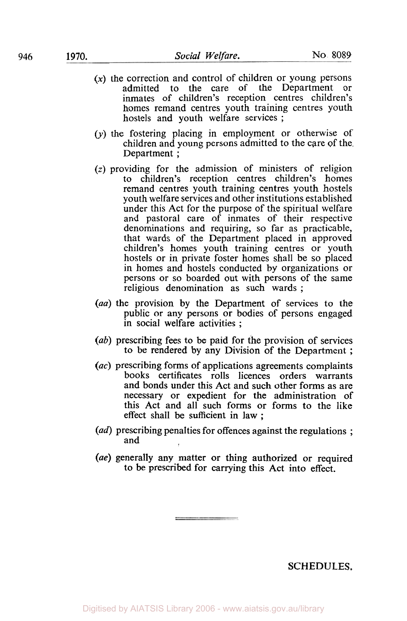- **(x)** the correction and control of children or young persons admitted to the care of the Department or inmates of children's reception centres children's homes remand centres youth training centres youth hostels and youth welfare services ;
- *(y)* the fostering placing in employment or otherwise of children and young persons admitted to the care of the Department ;
- *(z)* providing for the admission of ministers of religion to children's reception centres children's homes remand centres youth training centres youth hostels youth welfare services and other institutions established under this Act for the purpose of the spiritual welfare and pastoral care of inmates of their respective denominations and requiring, so far as practicable, that wards of the Department placed in approved children's homes youth training centres or youth hostels or in private foster homes shall be so placed in homes and hostels conducted by organizations or persons or so boarded out with persons of the same religious denomination as such wards ;
- *(aa)* the provision by the Department of services to the public or any persons or bodies of persons engaged in social welfare activities ;
- *(ab)* prescribing fees to be paid for the provision of services to be rendered by any Division of the Department ;
- *(ac)* prescribing forms of applications agreements complaints books certificates rolls licences orders warrants and bonds under this Act and such other forms as are necessary or expedient for the administration of this Act and all such forms or forms to the like effect shall be sufficient in law ;
- *(ad)* prescribing penalties for offences against the regulations ; and
- *(ae)* generally any matter or thing authorized or required to be prescribed for carrying this Act into effect.

**SCHEDULES.**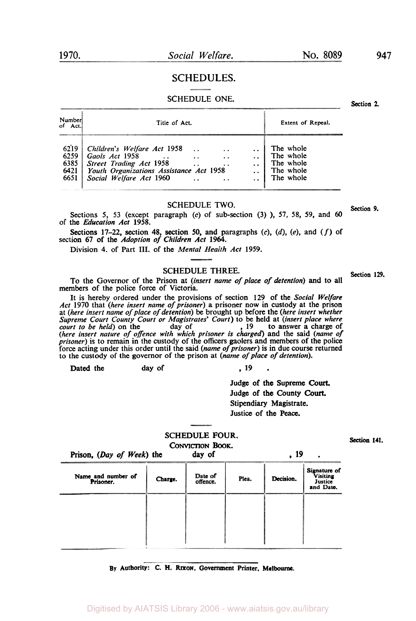#### **SCHEDULES.**

# SCHEDULE ONE. Section 2.

| Number <br>of Act.                   | Title of Act.                                                                                                                                  |                      |  |  | Extent of Repeal.                                             |  |  |  |  |
|--------------------------------------|------------------------------------------------------------------------------------------------------------------------------------------------|----------------------|--|--|---------------------------------------------------------------|--|--|--|--|
| 6219<br>6259<br>6385<br>6421<br>6651 | Children's Welfare Act 1958<br>Gaols Act 1958<br>Street Trading Act 1958<br>Youth Organizations Assistance Act 1958<br>Social Welfare Act 1960 | $\ddot{\phantom{1}}$ |  |  | The whole<br>The whole<br>The whole<br>The whole<br>The whole |  |  |  |  |

# **SCHEDULE TWO. 3. 19. 19. 20. 19. 9. Section 9.**

Sections 5, 53 (except paragraph *(c)* of sub-section (3) ), 57, 58, 59, and *60*  of the *Education Act* 1958.

Sections 17-22, section 48, section *50,* and paragraphs *(c),* (d), *(e),* and *(f) of*  section 67 of the *Adoption of Children Act* 1964.

Division 4. of Part III. of the *Mental Health Act* 1959.

### **SCHEDULE THREE.** Section 129.

To the Governor of the Prison at *(insert name of pIace of detention)* and to all members of the police force of Victoria.

It is hereby ordered under the provisions of section 129 **of** the *Social Welfare Act* 1970 that *(here insert name of prisoner)* a prisoner now in custody at the prison at *(here insert name of place of detention)* be brought up before the *(here insert whether*  Supreme Court County Court or Magistrates' Court) to be held at *(insert place where* court to be held) on the day of 19 to answer a charge of (here insert nature of offence with which prisoner is charged) and the said (na force acting under this order until the said (name of prisoner) is in due course returned to the custody of the governor of the prison at *(name of place of detention).* 

Dated the day of , **19** .

Judge of the Supreme *Court.*  Judge of the County *Court.*  Stipendiary Magistrate. Justice **of** the **Peace.** 

#### SCHEDULE FOUR. **CONVICTION Book.**

| CONVICTION BOOK.                |         |                     |       |           |                                                  |  |  |  |
|---------------------------------|---------|---------------------|-------|-----------|--------------------------------------------------|--|--|--|
| Prison, (Day of Week) the       |         | day of              |       | , 19      | $\bullet$                                        |  |  |  |
| Name and number of<br>Prisoner. | Charge. | Date of<br>offence. | Plea. | Decision. | Signature of<br>Visiting<br>Justice<br>and Date. |  |  |  |
|                                 |         |                     |       |           |                                                  |  |  |  |
|                                 |         |                     |       |           |                                                  |  |  |  |
|                                 |         |                     |       |           |                                                  |  |  |  |
|                                 |         |                     |       |           |                                                  |  |  |  |

#### **By Authority:** *c.* **H. Rixon. Government Printer, Melbourne.**

**947**